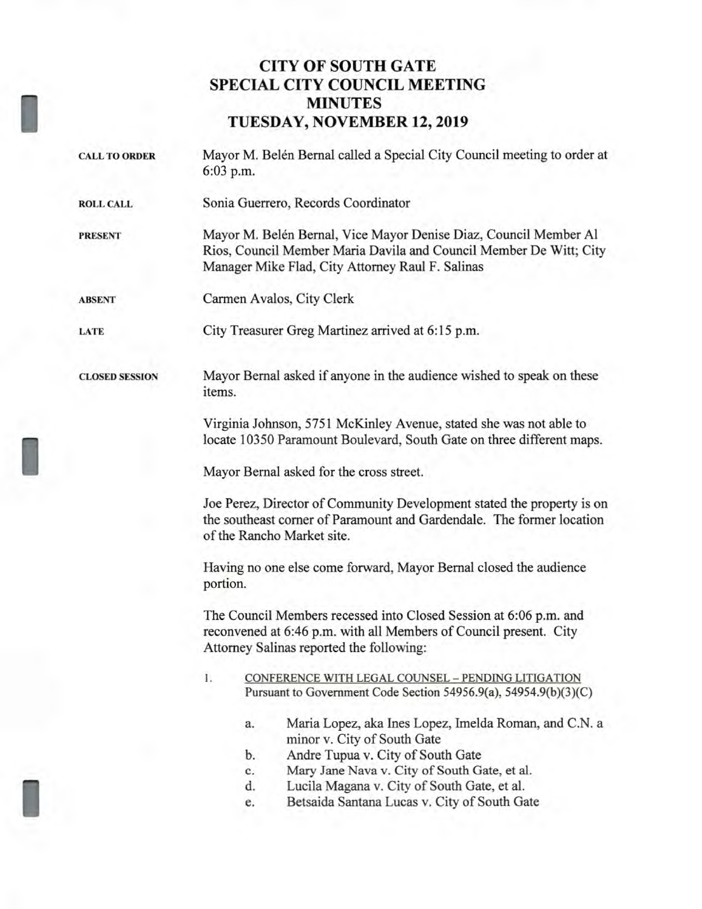# **CITY OF SOUTH GATE SPECIAL CITY COUNCIL MEETING MINUTES TUESDAY, NOVEMBER 12, 2019**

| <b>CALL TO ORDER</b>  | Mayor M. Belén Bernal called a Special City Council meeting to order at<br>6:03 p.m.                                                                                                       |  |  |
|-----------------------|--------------------------------------------------------------------------------------------------------------------------------------------------------------------------------------------|--|--|
| <b>ROLL CALL</b>      | Sonia Guerrero, Records Coordinator                                                                                                                                                        |  |  |
| <b>PRESENT</b>        | Mayor M. Belén Bernal, Vice Mayor Denise Diaz, Council Member Al<br>Rios, Council Member Maria Davila and Council Member De Witt; City<br>Manager Mike Flad, City Attorney Raul F. Salinas |  |  |
| <b>ABSENT</b>         | Carmen Avalos, City Clerk                                                                                                                                                                  |  |  |
| LATE                  | City Treasurer Greg Martinez arrived at 6:15 p.m.                                                                                                                                          |  |  |
| <b>CLOSED SESSION</b> | Mayor Bernal asked if anyone in the audience wished to speak on these<br>items.                                                                                                            |  |  |
|                       | Virginia Johnson, 5751 McKinley Avenue, stated she was not able to<br>locate 10350 Paramount Boulevard, South Gate on three different maps.                                                |  |  |
|                       | Mayor Bernal asked for the cross street.                                                                                                                                                   |  |  |
|                       | Joe Perez, Director of Community Development stated the property is on<br>the southeast corner of Paramount and Gardendale. The former location<br>of the Rancho Market site.              |  |  |
|                       | Having no one else come forward, Mayor Bernal closed the audience<br>portion.                                                                                                              |  |  |
|                       | The Council Members recessed into Closed Session at 6:06 p.m. and<br>reconvened at 6:46 p.m. with all Members of Council present. City<br>Attorney Salinas reported the following:         |  |  |
|                       | CONFERENCE WITH LEGAL COUNSEL - PENDING LITIGATION<br>1.<br>Pursuant to Government Code Section 54956.9(a), 54954.9(b)(3)(C)                                                               |  |  |
|                       | Maria Lopez, aka Ines Lopez, Imelda Roman, and C.N. a<br>a.<br>minor v. City of South Gate                                                                                                 |  |  |
|                       | Andre Tupua v. City of South Gate<br>b.                                                                                                                                                    |  |  |
|                       | Mary Jane Nava v. City of South Gate, et al.<br>c.                                                                                                                                         |  |  |
|                       | d.<br>Lucila Magana v. City of South Gate, et al.                                                                                                                                          |  |  |
|                       | Betsaida Santana Lucas v. City of South Gate<br>e.                                                                                                                                         |  |  |
|                       |                                                                                                                                                                                            |  |  |

I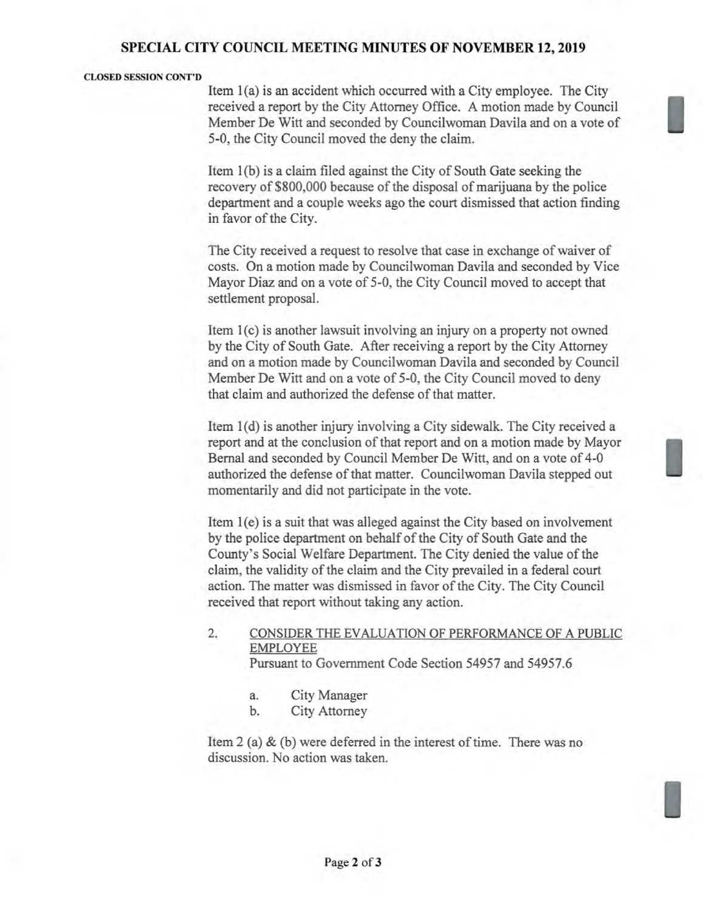### **SPECIAL CITY COUNCIL MEETING MINUTES OF NOVEMBER 12, 2019**

#### **CLOSED SESSION CONT'D**

Item 1(a) is an accident which occurred with a City employee. The City received a report by the City Attorney Office. A motion made by Council Member De Witt and seconded by Councilwoman Davila and on a vote of 5-0, the City Council moved the deny the claim.

Item 1(b) is a claim filed against the City of South Gate seeking the recovery of \$800,000 because of the disposal of marijuana by the police department and a couple weeks ago the court dismissed that action finding in favor of the City.

The City received a request to resolve that case in exchange of waiver of costs. On a motion made by Councilwoman Davila and seconded by Vice Mayor Diaz and on a vote of 5-0, the City Council moved to accept that settlement proposal.

Item 1(c) is another lawsuit involving an injury on a property not owned by the City of South Gate. After receiving a report by the City Attorney and on a motion made by Councilwoman Davila and seconded by Council Member De Witt and on a vote of 5-0, the City Council moved to deny that claim and authorized the defense of that matter.

Item 1(d) is another injury involving a City sidewalk. The City received a report and at the conclusion of that report and on a motion made by Mayor Bernal and seconded by Council Member De Witt, and on a vote of 4-0 authorized the defense of that matter. Councilwoman Davila stepped out momentarily and did not participate in the vote.

Item 1(e) is a suit that was alleged against the City based on involvement by the police department on behalf of the City of South Gate and the County's Social Welfare Department. The City denied the value of the claim, the validity of the claim and the City prevailed in a federal court action. The matter was dismissed in favor of the City. The City Council received that report without taking any action.

#### 2. CONSIDER THE EVALUATION OF PERFORMANCE OF A PUBLIC EMPLOYEE Pursuant to Government Code Section 54957 and 54957.6

- a. City Manager
- b. City Attorney

Item 2 (a) & (b) were deferred in the interest of time. There was no discussion. No action was taken.